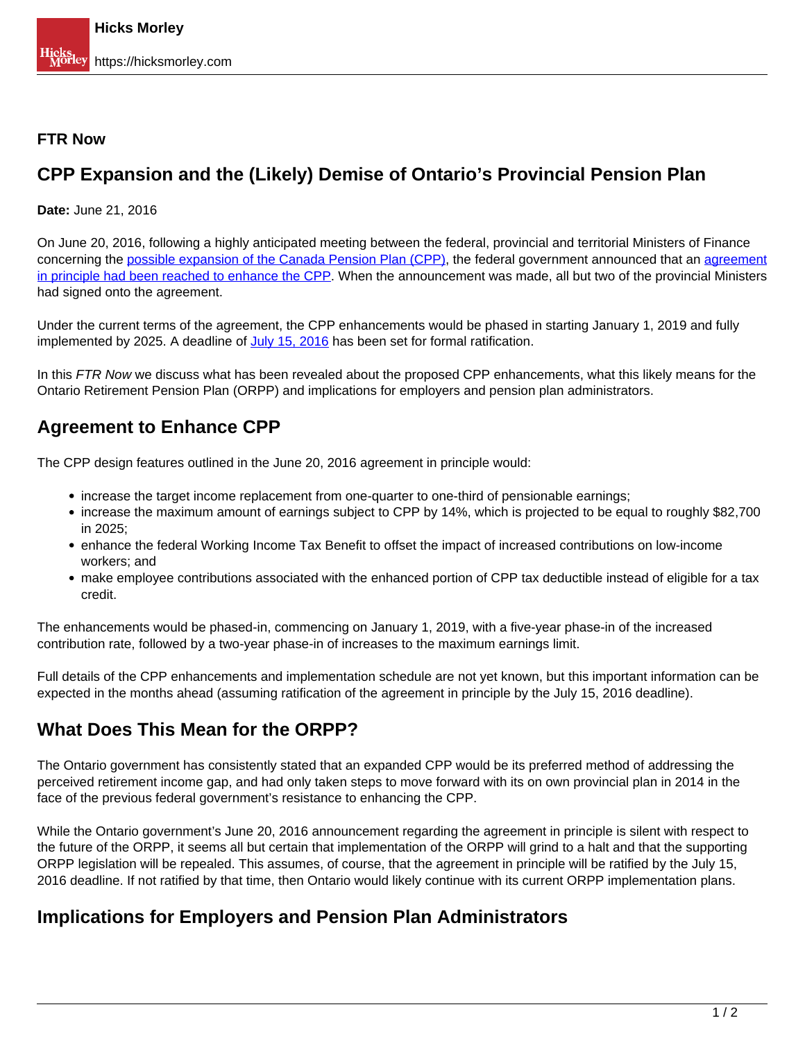#### **FTR Now**

## **CPP Expansion and the (Likely) Demise of Ontario's Provincial Pension Plan**

**Date:** June 21, 2016

On June 20, 2016, following a highly anticipated meeting between the federal, provincial and territorial Ministers of Finance concerning the [possible expansion of the Canada Pension Plan \(CPP\)](http://www.fin.gc.ca/n16/16-080-eng.asp), the federal government announced that an agreement in principle had been reached to enhance the CPP</u>. When the announcement was made, all but two of the provincial Ministers had signed onto the agreement.

Under the current terms of the agreement, the CPP enhancements would be phased in starting January 1, 2019 and fully implemented by 2025. A deadline of July 15, 2016 has been set for formal ratification.

In this FTR Now we discuss what has been revealed about the proposed CPP enhancements, what this likely means for the Ontario Retirement Pension Plan (ORPP) and implications for employers and pension plan administrators.

# **Agreement to Enhance CPP**

The CPP design features outlined in the June 20, 2016 agreement in principle would:

- increase the target income replacement from one-quarter to one-third of pensionable earnings;
- increase the maximum amount of earnings subject to CPP by 14%, which is projected to be equal to roughly \$82,700 in 2025;
- enhance the federal Working Income Tax Benefit to offset the impact of increased contributions on low-income workers; and
- make employee contributions associated with the enhanced portion of CPP tax deductible instead of eligible for a tax credit.

The enhancements would be phased-in, commencing on January 1, 2019, with a five-year phase-in of the increased contribution rate, followed by a two-year phase-in of increases to the maximum earnings limit.

Full details of the CPP enhancements and implementation schedule are not yet known, but this important information can be expected in the months ahead (assuming ratification of the agreement in principle by the July 15, 2016 deadline).

## **What Does This Mean for the ORPP?**

The Ontario government has consistently stated that an expanded CPP would be its preferred method of addressing the perceived retirement income gap, and had only taken steps to move forward with its on own provincial plan in 2014 in the face of the previous federal government's resistance to enhancing the CPP.

While the Ontario government's June 20, 2016 announcement regarding the agreement in principle is silent with respect to the future of the ORPP, it seems all but certain that implementation of the ORPP will grind to a halt and that the supporting ORPP legislation will be repealed. This assumes, of course, that the agreement in principle will be ratified by the July 15, 2016 deadline. If not ratified by that time, then Ontario would likely continue with its current ORPP implementation plans.

#### **Implications for Employers and Pension Plan Administrators**